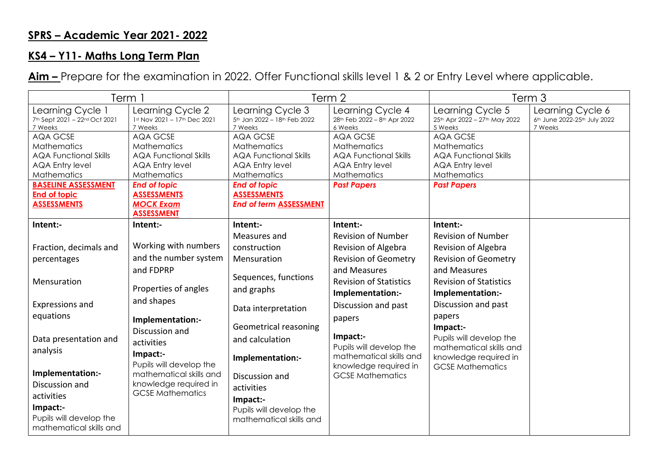## **SPRS – Academic Year 2021- 2022**

## **KS4 – Y11- Maths Long Term Plan**

**Aim –** Prepare for the examination in 2022. Offer Functional skills level 1 & 2 or Entry Level where applicable.

| Term 1                                                                                                                                                                                    |                                                                                                                                                                                                             | Term 2                                                                                                                                                                                |                                                                                                                                      | Term <sub>3</sub>                                                                                                             |                                                             |
|-------------------------------------------------------------------------------------------------------------------------------------------------------------------------------------------|-------------------------------------------------------------------------------------------------------------------------------------------------------------------------------------------------------------|---------------------------------------------------------------------------------------------------------------------------------------------------------------------------------------|--------------------------------------------------------------------------------------------------------------------------------------|-------------------------------------------------------------------------------------------------------------------------------|-------------------------------------------------------------|
| Learning Cycle 1<br>7th Sept 2021 - 22nd Oct 2021<br>7 Weeks                                                                                                                              | Learning Cycle 2<br>1st Nov 2021 - 17th Dec 2021<br>7 Weeks                                                                                                                                                 | Learning Cycle 3<br>5th Jan 2022 - 18th Feb 2022<br>7 Weeks                                                                                                                           | Learning Cycle 4<br>28th Feb 2022 - 8th Apr 2022<br>6 Weeks                                                                          | Learning Cycle 5<br>25th Apr 2022 - 27th May 2022<br>5 Weeks                                                                  | Learning Cycle 6<br>6th June 2022-25th July 2022<br>7 Weeks |
| <b>AQA GCSE</b><br><b>Mathematics</b><br><b>AQA Functional Skills</b><br><b>AQA Entry level</b><br>Mathematics<br><b>BASELINE ASSESSMENT</b><br><b>End of topic</b><br><b>ASSESSMENTS</b> | <b>AQA GCSE</b><br><b>Mathematics</b><br><b>AQA Functional Skills</b><br><b>AQA Entry level</b><br><b>Mathematics</b><br><b>End of topic</b><br><b>ASSESSMENTS</b><br><b>MOCK Exam</b><br><b>ASSESSMENT</b> | AQA GCSE<br><b>Mathematics</b><br><b>AQA Functional Skills</b><br><b>AQA Entry level</b><br>Mathematics<br><b>End of topic</b><br><b>ASSESSMENTS</b><br><b>End of term ASSESSMENT</b> | <b>AQA GCSE</b><br><b>Mathematics</b><br><b>AQA Functional Skills</b><br><b>AQA Entry level</b><br>Mathematics<br><b>Past Papers</b> | AQA GCSE<br><b>Mathematics</b><br><b>AQA Functional Skills</b><br><b>AQA Entry level</b><br>Mathematics<br><b>Past Papers</b> |                                                             |
| Intent:-                                                                                                                                                                                  | Intent:-                                                                                                                                                                                                    | Intent:-                                                                                                                                                                              | Intent:-                                                                                                                             | Intent:-                                                                                                                      |                                                             |
|                                                                                                                                                                                           |                                                                                                                                                                                                             | Measures and                                                                                                                                                                          | <b>Revision of Number</b>                                                                                                            | <b>Revision of Number</b>                                                                                                     |                                                             |
| Fraction, decimals and                                                                                                                                                                    | Working with numbers                                                                                                                                                                                        | construction                                                                                                                                                                          | Revision of Algebra                                                                                                                  | Revision of Algebra                                                                                                           |                                                             |
| percentages                                                                                                                                                                               | and the number system                                                                                                                                                                                       | Mensuration                                                                                                                                                                           | <b>Revision of Geometry</b>                                                                                                          | <b>Revision of Geometry</b>                                                                                                   |                                                             |
| Mensuration                                                                                                                                                                               | and FDPRP<br>Properties of angles                                                                                                                                                                           | Sequences, functions<br>and graphs                                                                                                                                                    | and Measures<br><b>Revision of Statistics</b><br>Implementation:-                                                                    | and Measures<br><b>Revision of Statistics</b><br>Implementation:-                                                             |                                                             |
| Expressions and                                                                                                                                                                           | and shapes                                                                                                                                                                                                  |                                                                                                                                                                                       | Discussion and past                                                                                                                  | Discussion and past                                                                                                           |                                                             |
| equations                                                                                                                                                                                 |                                                                                                                                                                                                             | Data interpretation                                                                                                                                                                   | papers                                                                                                                               | papers                                                                                                                        |                                                             |
| Data presentation and<br>analysis<br>Implementation:-<br>Discussion and<br>activities<br>Impact:-<br>Pupils will develop the<br>mathematical skills and                                   | Implementation:-<br>Discussion and<br>activities<br>Impact:-<br>Pupils will develop the<br>mathematical skills and<br>knowledge required in<br><b>GCSE Mathematics</b>                                      | Geometrical reasoning<br>and calculation<br>Implementation:-<br>Discussion and<br>activities<br>Impact:-<br>Pupils will develop the<br>mathematical skills and                        | Impact:-<br>Pupils will develop the<br>mathematical skills and<br>knowledge required in<br><b>GCSE Mathematics</b>                   | Impact:-<br>Pupils will develop the<br>mathematical skills and<br>knowledge required in<br><b>GCSE Mathematics</b>            |                                                             |